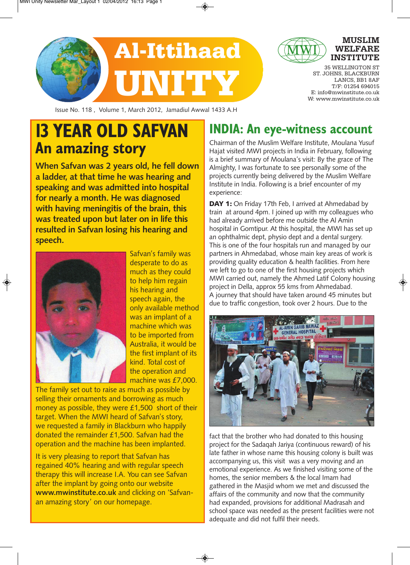



### **MUSLIM** WELFARI **INSTITUTE**

35 WELLINGTON ST ST. JOHNS, BLACKBURN LANCS, BB1 8AF T/F: 01254 694015 E: info@mwinstitute.co.uk W: www.mwinstitute.co.uk

Issue No. 118 , Volume 1, March 2012, Jamadiul Awwal 1433 A.H

# **13 YEAR OLD SAFVAN An amazing story**

**When Safvan was 2 years old, he fell down a ladder, at that time he was hearing and speaking and was admitted into hospital for nearly a month. He was diagnosed with having meningitis of the brain, this was treated upon but later on in life this resulted in Safvan losing his hearing and speech.**



Safvan's family was desperate to do as much as they could to help him regain his hearing and speech again, the only available method was an implant of a machine which was to be imported from Australia, it would be the first implant of its kind. Total cost of the operation and machine was £7,000.

The family set out to raise as much as possible by selling their ornaments and borrowing as much money as possible, they were £1,500 short of their target. When the MWI heard of Safvan's story, we requested a family in Blackburn who happily donated the remainder £1,500. Safvan had the operation and the machine has been implanted.

It is very pleasing to report that Safvan has regained 40% hearing and with regular speech therapy this will increase I.A. You can see Safvan after the implant by going onto our website **www.mwinstitute.co.uk** and clicking on 'Safvanan amazing story' on our homepage.

# **INDIA: An eye-witness account**

Chairman of the Muslim Welfare Institute, Moulana Yusuf Hajat visited MWI projects in India in February, following is a brief summary of Moulana's visit: By the grace of The Almighty, I was fortunate to see personally some of the projects currently being delivered by the Muslim Welfare Institute in India. Following is a brief encounter of my experience:

DAY 1: On Friday 17th Feb, I arrived at Ahmedabad by train at around 4pm. I joined up with my colleagues who had already arrived before me outside the Al Amin hospital in Gomtipur. At this hospital, the MWI has set up an ophthalmic dept, physio dept and a dental surgery. This is one of the four hospitals run and managed by our partners in Ahmedabad, whose main key areas of work is providing quality education & health facilities. From here we left to go to one of the first housing projects which MWI carried out, namely the Ahmed Latif Colony housing project in Della, approx 55 kms from Ahmedabad. A journey that should have taken around 45 minutes but due to traffic congestion, took over 2 hours. Due to the



fact that the brother who had donated to this housing project for the Sadaqah Jariya (continuous reward) of his late father in whose name this housing colony is built was accompanying us, this visit was a very moving and an emotional experience. As we finished visiting some of the homes, the senior members & the local Imam had gathered in the Masjid whom we met and discussed the affairs of the community and now that the community had expanded, provisions for additional Madrasah and school space was needed as the present facilities were not adequate and did not fulfil their needs.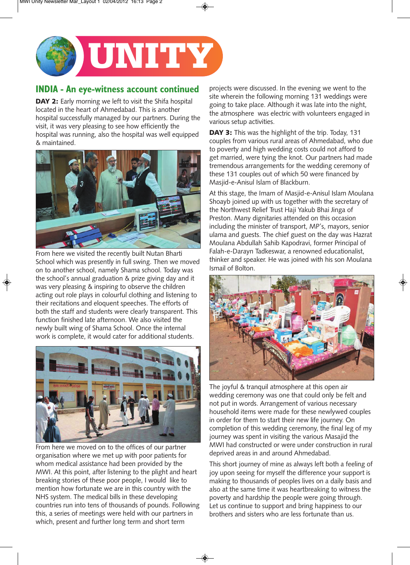

### **INDIA - An eye-witness account continued**

DAY 2: Early morning we left to visit the Shifa hospital located in the heart of Ahmedabad. This is another hospital successfully managed by our partners. During the visit, it was very pleasing to see how efficiently the hospital was running, also the hospital was well equipped & maintained.



From here we visited the recently built Nutan Bharti School which was presently in full swing. Then we moved on to another school, namely Shama school. Today was the school's annual graduation & prize giving day and it was very pleasing & inspiring to observe the children acting out role plays in colourful clothing and listening to their recitations and eloquent speeches. The efforts of both the staff and students were clearly transparent. This function finished late afternoon. We also visited the newly built wing of Shama School. Once the internal work is complete, it would cater for additional students.



From here we moved on to the offices of our partner organisation where we met up with poor patients for whom medical assistance had been provided by the MWI. At this point, after listening to the plight and heart breaking stories of these poor people, I would like to mention how fortunate we are in this country with the NHS system. The medical bills in these developing countries run into tens of thousands of pounds. Following this, a series of meetings were held with our partners in which, present and further long term and short term

projects were discussed. In the evening we went to the site wherein the following morning 131 weddings were going to take place. Although it was late into the night, the atmosphere was electric with volunteers engaged in various setup activities.

DAY 3: This was the highlight of the trip. Today, 131 couples from various rural areas of Ahmedabad, who due to poverty and high wedding costs could not afford to get married, were tying the knot. Our partners had made tremendous arrangements for the wedding ceremony of these 131 couples out of which 50 were financed by Masjid-e-Anisul Islam of Blackburn.

At this stage, the Imam of Masjid-e-Anisul Islam Moulana Shoayb joined up with us together with the secretary of the Northwest Relief Trust Haji Yakub Bhai Jinga of Preston. Many dignitaries attended on this occasion including the minister of transport, MP's, mayors, senior ulama and guests. The chief guest on the day was Hazrat Moulana Abdullah Sahib Kapodravi, former Principal of Falah-e-Darayn Tadkeswar, a renowned educationalist, thinker and speaker. He was joined with his son Moulana Ismail of Bolton.



The joyful & tranquil atmosphere at this open air wedding ceremony was one that could only be felt and not put in words. Arrangement of various necessary household items were made for these newlywed couples in order for them to start their new life journey. On completion of this wedding ceremony, the final leg of my journey was spent in visiting the various Masajid the MWI had constructed or were under construction in rural deprived areas in and around Ahmedabad.

This short journey of mine as always left both a feeling of joy upon seeing for myself the difference your support is making to thousands of peoples lives on a daily basis and also at the same time it was heartbreaking to witness the poverty and hardship the people were going through. Let us continue to support and bring happiness to our brothers and sisters who are less fortunate than us.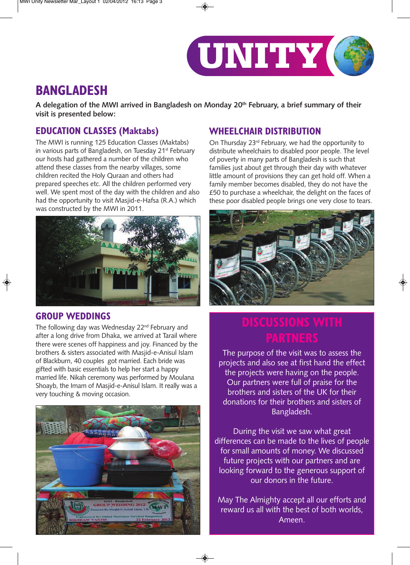

## **BANGLADESH**

**A delegation of the MWI arrived in Bangladesh on Monday 20th February, a brief summary of their visit is presented below:**

### **EDUCATION CLASSES (Maktabs)**

The MWI is running 125 Education Classes (Maktabs) in various parts of Bangladesh, on Tuesday 21<sup>st</sup> February our hosts had gathered a number of the children who attend these classes from the nearby villages, some children recited the Holy Quraan and others had prepared speeches etc. All the children performed very well. We spent most of the day with the children and also had the opportunity to visit Masjid-e-Hafsa (R.A.) which was constructed by the MWI in 2011.



### **GROUP WEDDINGS**

The following day was Wednesday 22<sup>nd</sup> February and after a long drive from Dhaka, we arrived at Tarail where there were scenes off happiness and joy. Financed by the brothers & sisters associated with Masjid-e-Anisul Islam of Blackburn, 40 couples got married. Each bride was gifted with basic essentials to help her start a happy married life. Nikah ceremony was performed by Moulana Shoayb, the Imam of Masjid-e-Anisul Islam. It really was a very touching & moving occasion.



### **WHEELCHAIR DISTRIBUTION**

On Thursday 23rd February, we had the opportunity to distribute wheelchairs to disabled poor people. The level of poverty in many parts of Bangladesh is such that families just about get through their day with whatever little amount of provisions they can get hold off. When a family member becomes disabled, they do not have the £50 to purchase a wheelchair, the delight on the faces of these poor disabled people brings one very close to tears.



The purpose of the visit was to assess the projects and also see at first hand the effect the projects were having on the people. Our partners were full of praise for the brothers and sisters of the UK for their donations for their brothers and sisters of Bangladesh.

During the visit we saw what great differences can be made to the lives of people for small amounts of money. We discussed future projects with our partners and are looking forward to the generous support of our donors in the future.

May The Almighty accept all our efforts and reward us all with the best of both worlds, Ameen.